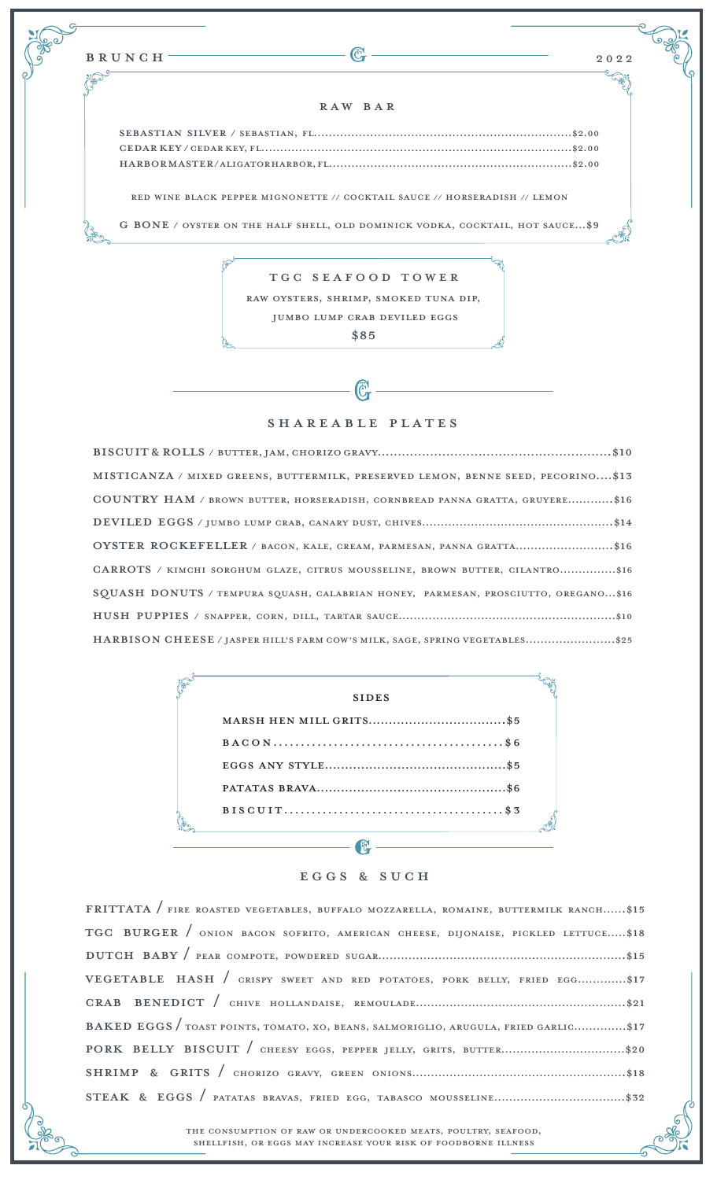## Raw bar

Sebastian silver / Sebastian, Fl.....................................................................\$2.00 cedar key / cedar key, fl...................................................................................\$2.00 harbor master / aligator harbor, fl.................................................................\$2.00

red wine black pepper mignonette // cocktail sauce // horseradish // lemon

g bone / oyster on the half shell, old dominick vodka, cocktail, hot sauce...\$9

## TGC seafood tower

raw oysters, shrimp, smoked tuna dip, jumbo lump crab deviled eggs

\$85

## SHAREABLE PLATES

| MISTICANZA / MIXED GREENS, BUTTERMILK, PRESERVED LEMON, BENNE SEED, PECORINO\$13   |
|------------------------------------------------------------------------------------|
| COUNTRY HAM / BROWN BUTTER, HORSERADISH, CORNBREAD PANNA GRATTA, GRUYERE\$16       |
|                                                                                    |
| OYSTER ROCKEFELLER / BACON, KALE, CREAM, PARMESAN, PANNA GRATTA\$16                |
| CARROTS / KIMCHI SORGHUM GLAZE, CITRUS MOUSSELINE, BROWN BUTTER, CILANTRO\$16      |
| SQUASH DONUTS / TEMPURA SQUASH, CALABRIAN HONEY, PARMESAN, PROSCIUTTO, OREGANO\$16 |
|                                                                                    |
| HARBISON CHEESE / JASPER HILL'S FARM COW'S MILK, SAGE, SPRING VEGETABLES\$25       |

| <b>SIDES</b> |
|--------------|
|              |
|              |
|              |
|              |
|              |
|              |

## EGGS & SUCH

| FRITTATA / FIRE ROASTED VEGETABLES, BUFFALO MOZZARELLA, ROMAINE, BUTTERMILK RANCH\$15 |  |  |  |
|---------------------------------------------------------------------------------------|--|--|--|
| TGC BURGER / ONION BACON SOFRITO, AMERICAN CHEESE, DIJONAISE, PICKLED LETTUCE\$18     |  |  |  |
|                                                                                       |  |  |  |
| VEGETABLE HASH / CRISPY SWEET AND RED POTATOES, PORK BELLY, FRIED EGG\$17             |  |  |  |
|                                                                                       |  |  |  |
| BAKED EGGS / TOAST POINTS, TOMATO, XO, BEANS, SALMORIGLIO, ARUGULA, FRIED GARLIC\$17  |  |  |  |
|                                                                                       |  |  |  |
|                                                                                       |  |  |  |
|                                                                                       |  |  |  |

the consumption of raw or undercooked meats, poultry, seafood, shellfish, or eggs may increase your risk of foodborne illness